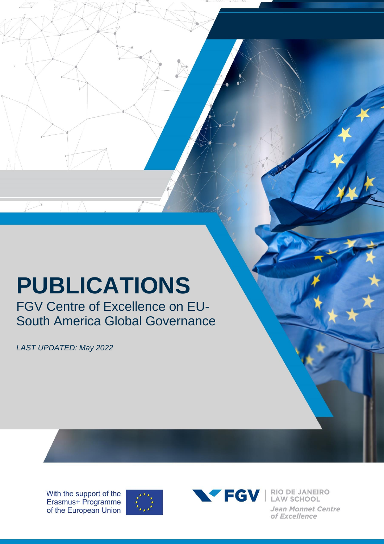## **PUBLICATIONS**

FGV Centre of Excellence on EU-South America Global Governance

*LAST UPDATED: May 2022*

With the support of the Erasmus+ Programme of the European Union





VEGV | RIO DE JANEIRO Jean Monnet Centre of Excellence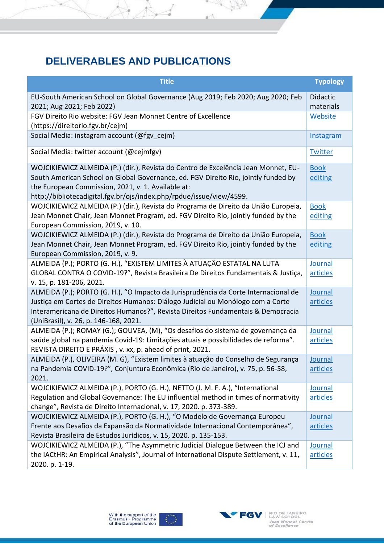## **DELIVERABLES AND PUBLICATIONS**

A

¥

| <b>Title</b>                                                                                                                                                                                                                                                                                           | <b>Typology</b>            |
|--------------------------------------------------------------------------------------------------------------------------------------------------------------------------------------------------------------------------------------------------------------------------------------------------------|----------------------------|
| EU-South American School on Global Governance (Aug 2019; Feb 2020; Aug 2020; Feb<br>2021; Aug 2021; Feb 2022)                                                                                                                                                                                          | Didactic<br>materials      |
| FGV Direito Rio website: FGV Jean Monnet Centre of Excellence<br>(https://direitorio.fgv.br/cejm)                                                                                                                                                                                                      | Website                    |
| Social Media: instagram account (@fgv cejm)                                                                                                                                                                                                                                                            | <b>Instagram</b>           |
| Social Media: twitter account (@cejmfgv)                                                                                                                                                                                                                                                               | <b>Twitter</b>             |
| WOJCIKIEWICZ ALMEIDA (P.) (dir.), Revista do Centro de Excelência Jean Monnet, EU-<br>South American School on Global Governance, ed. FGV Direito Rio, jointly funded by<br>the European Commission, 2021, v. 1. Available at:<br>http://bibliotecadigital.fgv.br/ojs/index.php/rpdue/issue/view/4599. | <b>Book</b><br>editing     |
| WOJCIKIEWICZ ALMEIDA (P.) (dir.), Revista do Programa de Direito da União Europeia,<br>Jean Monnet Chair, Jean Monnet Program, ed. FGV Direito Rio, jointly funded by the<br>European Commission, 2019, v. 10.                                                                                         | <b>Book</b><br>editing     |
| WOJCIKIEWICZ ALMEIDA (P.) (dir.), Revista do Programa de Direito da União Europeia,<br>Jean Monnet Chair, Jean Monnet Program, ed. FGV Direito Rio, jointly funded by the<br>European Commission, 2019, v. 9.                                                                                          | <b>Book</b><br>editing     |
| ALMEIDA (P.); PORTO (G. H.), "EXISTEM LIMITES À ATUAÇÃO ESTATAL NA LUTA<br>GLOBAL CONTRA O COVID-19?", Revista Brasileira De Direitos Fundamentais & Justiça,<br>v. 15, p. 181-206, 2021.                                                                                                              | Journal<br>articles        |
| ALMEIDA (P.); PORTO (G. H.), "O Impacto da Jurisprudência da Corte Internacional de<br>Justiça em Cortes de Direitos Humanos: Diálogo Judicial ou Monólogo com a Corte<br>Interamericana de Direitos Humanos?", Revista Direitos Fundamentais & Democracia<br>(UniBrasil), v. 26, p. 146-168, 2021.    | Journal<br>articles        |
| ALMEIDA (P.); ROMAY (G.); GOUVEA, (M), "Os desafios do sistema de governança da<br>saúde global na pandemia Covid-19: Limitações atuais e possibilidades de reforma".<br>REVISTA DIREITO E PRÁXIS, v. xx, p. ahead of print, 2021.                                                                     | Journal<br>articles        |
| ALMEIDA (P.), OLIVEIRA (M. G), "Existem limites à atuação do Conselho de Segurança<br>na Pandemia COVID-19?", Conjuntura Econômica (Rio de Janeiro), v. 75, p. 56-58,<br>2021.                                                                                                                         | Journal<br>articles        |
| WOJCIKIEWICZ ALMEIDA (P.), PORTO (G. H.), NETTO (J. M. F. A.), "International<br>Regulation and Global Governance: The EU influential method in times of normativity<br>change", Revista de Direito Internacional, v. 17, 2020. p. 373-389.                                                            | Journal<br>articles        |
| WOJCIKIEWICZ ALMEIDA (P.), PORTO (G. H.), "O Modelo de Governança Europeu<br>Frente aos Desafios da Expansão da Normatividade Internacional Contemporânea",<br>Revista Brasileira de Estudos Jurídicos, v. 15, 2020. p. 135-153.                                                                       | Journal<br>articles        |
| WOJCIKIEWICZ ALMEIDA (P.), "The Asymmetric Judicial Dialogue Between the ICJ and<br>the IACtHR: An Empirical Analysis", Journal of International Dispute Settlement, v. 11,<br>2020. p. 1-19.                                                                                                          | <b>Journal</b><br>articles |

 $\sqrt{2\pi}$ 

A,



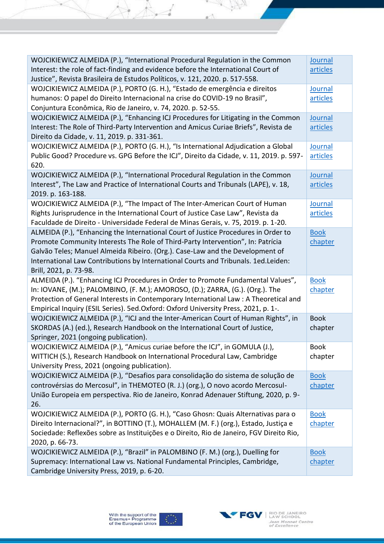| WOJCIKIEWICZ ALMEIDA (P.), "International Procedural Regulation in the Common<br>Interest: the role of fact-finding and evidence before the International Court of<br>Justice", Revista Brasileira de Estudos Políticos, v. 121, 2020. p. 517-558.                                                                                                                     | Journal<br>articles    |
|------------------------------------------------------------------------------------------------------------------------------------------------------------------------------------------------------------------------------------------------------------------------------------------------------------------------------------------------------------------------|------------------------|
| WOJCIKIEWICZ ALMEIDA (P.), PORTO (G. H.), "Estado de emergência e direitos<br>humanos: O papel do Direito Internacional na crise do COVID-19 no Brasil",<br>Conjuntura Econômica, Rio de Janeiro, v. 74, 2020. p. 52-55.                                                                                                                                               | Journal<br>articles    |
| WOJCIKIEWICZ ALMEIDA (P.), "Enhancing ICJ Procedures for Litigating in the Common<br>Interest: The Role of Third-Party Intervention and Amicus Curiae Briefs", Revista de<br>Direito da Cidade, v. 11, 2019. p. 331-361.                                                                                                                                               | Journal<br>articles    |
| WOJCIKIEWICZ ALMEIDA (P.), PORTO (G. H.), "Is International Adjudication a Global<br>Public Good? Procedure vs. GPG Before the ICJ", Direito da Cidade, v. 11, 2019. p. 597-<br>620.                                                                                                                                                                                   | Journal<br>articles    |
| WOJCIKIEWICZ ALMEIDA (P.), "International Procedural Regulation in the Common<br>Interest", The Law and Practice of International Courts and Tribunals (LAPE), v. 18,<br>2019. p. 163-188.                                                                                                                                                                             | Journal<br>articles    |
| WOJCIKIEWICZ ALMEIDA (P.), "The Impact of The Inter-American Court of Human<br>Rights Jurisprudence in the International Court of Justice Case Law", Revista da<br>Faculdade de Direito - Universidade Federal de Minas Gerais, v. 75, 2019. p. 1-20.                                                                                                                  | Journal<br>articles    |
| ALMEIDA (P.), "Enhancing the International Court of Justice Procedures in Order to<br>Promote Community Interests The Role of Third-Party Intervention", In: Patrícia<br>Galvão Teles; Manuel Almeida Ribeiro. (Org.). Case-Law and the Development of<br>International Law Contributions by International Courts and Tribunals. 1ed.Leiden:<br>Brill, 2021, p. 73-98. | <b>Book</b><br>chapter |
| ALMEIDA (P.). "Enhancing ICJ Procedures in Order to Promote Fundamental Values",<br>In: IOVANE, (M.); PALOMBINO, (F. M.); AMOROSO, (D.); ZARRA, (G.). (Org.). The<br>Protection of General Interests in Contemporary International Law : A Theoretical and<br>Empirical Inquiry (ESIL Series). 5ed.Oxford: Oxford University Press, 2021, p. 1-.                       | <b>Book</b><br>chapter |
| WOJCIKIEWICZ ALMEIDA (P.), "ICJ and the Inter-American Court of Human Rights", in<br>SKORDAS (A.) (ed.), Research Handbook on the International Court of Justice,<br>Springer, 2021 (ongoing publication).                                                                                                                                                             | <b>Book</b><br>chapter |
| WOJCIKIEWICZ ALMEIDA (P.), "Amicus curiae before the ICJ", in GOMULA (J.),<br>WITTICH (S.), Research Handbook on International Procedural Law, Cambridge<br>University Press, 2021 (ongoing publication).                                                                                                                                                              | <b>Book</b><br>chapter |
| WOJCIKIEWICZ ALMEIDA (P.), "Desafios para consolidação do sistema de solução de<br>controvérsias do Mercosul", in THEMOTEO (R. J.) (org.), O novo acordo Mercosul-<br>União Europeia em perspectiva. Rio de Janeiro, Konrad Adenauer Stiftung, 2020, p. 9-<br>26.                                                                                                      | <b>Book</b><br>chapter |
| WOJCIKIEWICZ ALMEIDA (P.), PORTO (G. H.), "Caso Ghosn: Quais Alternativas para o<br>Direito Internacional?", in BOTTINO (T.), MOHALLEM (M. F.) (org.), Estado, Justiça e<br>Sociedade: Reflexões sobre as Instituições e o Direito, Rio de Janeiro, FGV Direito Rio,<br>2020, p. 66-73.                                                                                | <b>Book</b><br>chapter |
| WOJCIKIEWICZ ALMEIDA (P.), "Brazil" in PALOMBINO (F. M.) (org.), Duelling for<br>Supremacy: International Law vs. National Fundamental Principles, Cambridge,<br>Cambridge University Press, 2019, p. 6-20.                                                                                                                                                            | <b>Book</b><br>chapter |

 $\forall A$ 

×

SAN

Å

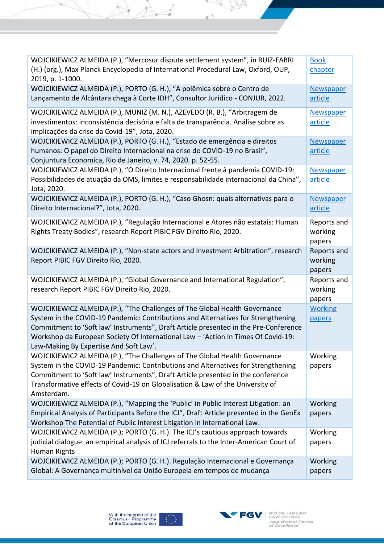| WOJCIKIEWICZ ALMEIDA (P.), "Mercosur dispute settlement system", in RUIZ-FABRI<br>(H.) (org.), Max Planck Encyclopedia of International Procedural Law, Oxford, OUP,<br>2019, p. 1-1000.                                                                                                                                                                                               | <b>Book</b><br>chapter           |
|----------------------------------------------------------------------------------------------------------------------------------------------------------------------------------------------------------------------------------------------------------------------------------------------------------------------------------------------------------------------------------------|----------------------------------|
| WOJCIKIEWICZ ALMEIDA (P.), PORTO (G. H.), "A polêmica sobre o Centro de<br>Lançamento de Alcântara chega à Corte IDH", Consultor Jurídico - CONJUR, 2022.                                                                                                                                                                                                                              | Newspaper<br>article             |
| WOJCIKIEWICZ ALMEIDA (P.), MUNIZ (M. N.), AZEVEDO (R. B.), "Arbitragem de<br>investimentos: inconsistência decisória e falta de transparência. Análise sobre as<br>implicações da crise da Covid-19", Jota, 2020.                                                                                                                                                                      | Newspaper<br>article             |
| WOJCIKIEWICZ ALMEIDA (P.), PORTO (G. H.), "Estado de emergência e direitos<br>humanos: O papel do Direito Internacional na crise do COVID-19 no Brasil",<br>Conjuntura Economica, Rio de Janeiro, v. 74, 2020. p. 52-55.                                                                                                                                                               | Newspaper<br>article             |
| WOJCIKIEWICZ ALMEIDA (P.), "O Direito Internacional frente à pandemia COVID-19:<br>Possibilidades de atuação da OMS, limites e responsabilidade internacional da China",<br>Jota, 2020.                                                                                                                                                                                                | Newspaper<br>article             |
| WOJCIKIEWICZ ALMEIDA (P.), PORTO (G. H.), "Caso Ghosn: quais alternativas para o<br>Direito Internacional?", Jota, 2020.                                                                                                                                                                                                                                                               | Newspaper<br>article             |
| WOJCIKIEWICZ ALMEIDA (P.), "Regulação Internacional e Atores não estatais: Human<br>Rights Treaty Bodies", research Report PIBIC FGV Direito Rio, 2020.                                                                                                                                                                                                                                | Reports and<br>working<br>papers |
| WOJCIKIEWICZ ALMEIDA (P.), "Non-state actors and Investment Arbitration", research<br>Report PIBIC FGV Direito Rio, 2020.                                                                                                                                                                                                                                                              | Reports and<br>working<br>papers |
| WOJCIKIEWICZ ALMEIDA (P.), "Global Governance and International Regulation",                                                                                                                                                                                                                                                                                                           |                                  |
| research Report PIBIC FGV Direito Rio, 2020.                                                                                                                                                                                                                                                                                                                                           | Reports and<br>working<br>papers |
| WOJCIKIEWICZ ALMEIDA (P.), "The Challenges of The Global Health Governance<br>System in the COVID-19 Pandemic: Contributions and Alternatives for Strengthening<br>Commitment to 'Soft law' Instruments", Draft Article presented in the Pre-Conference<br>Workshop da European Society Of International Law - 'Action In Times Of Covid-19:<br>Law-Making By Expertise And Soft Law'. | <b>Working</b><br>papers         |
| WOJCIKIEWICZ ALMEIDA (P.), "The Challenges of The Global Health Governance<br>System in the COVID-19 Pandemic: Contributions and Alternatives for Strengthening<br>Commitment to 'Soft law' Instruments", Draft Article presented in the conference<br>Transformative effects of Covid-19 on Globalisation & Law of the University of<br>Amsterdam.                                    | Working<br>papers                |
| WOJCIKIEWICZ ALMEIDA (P.), "Mapping the 'Public' in Public Interest Litigation: an<br>Empirical Analysis of Participants Before the ICJ", Draft Article presented in the GenEx<br>Workshop The Potential of Public Interest Litigation in International Law.                                                                                                                           | Working<br>papers                |
| WOJCIKIEWICZ ALMEIDA (P.); PORTO (G. H.). The ICJ's cautious approach towards<br>judicial dialogue: an empirical analysis of ICJ referrals to the Inter-American Court of<br>Human Rights                                                                                                                                                                                              | Working<br>papers                |

 $\forall A$ 

¥

SK VI

Ã